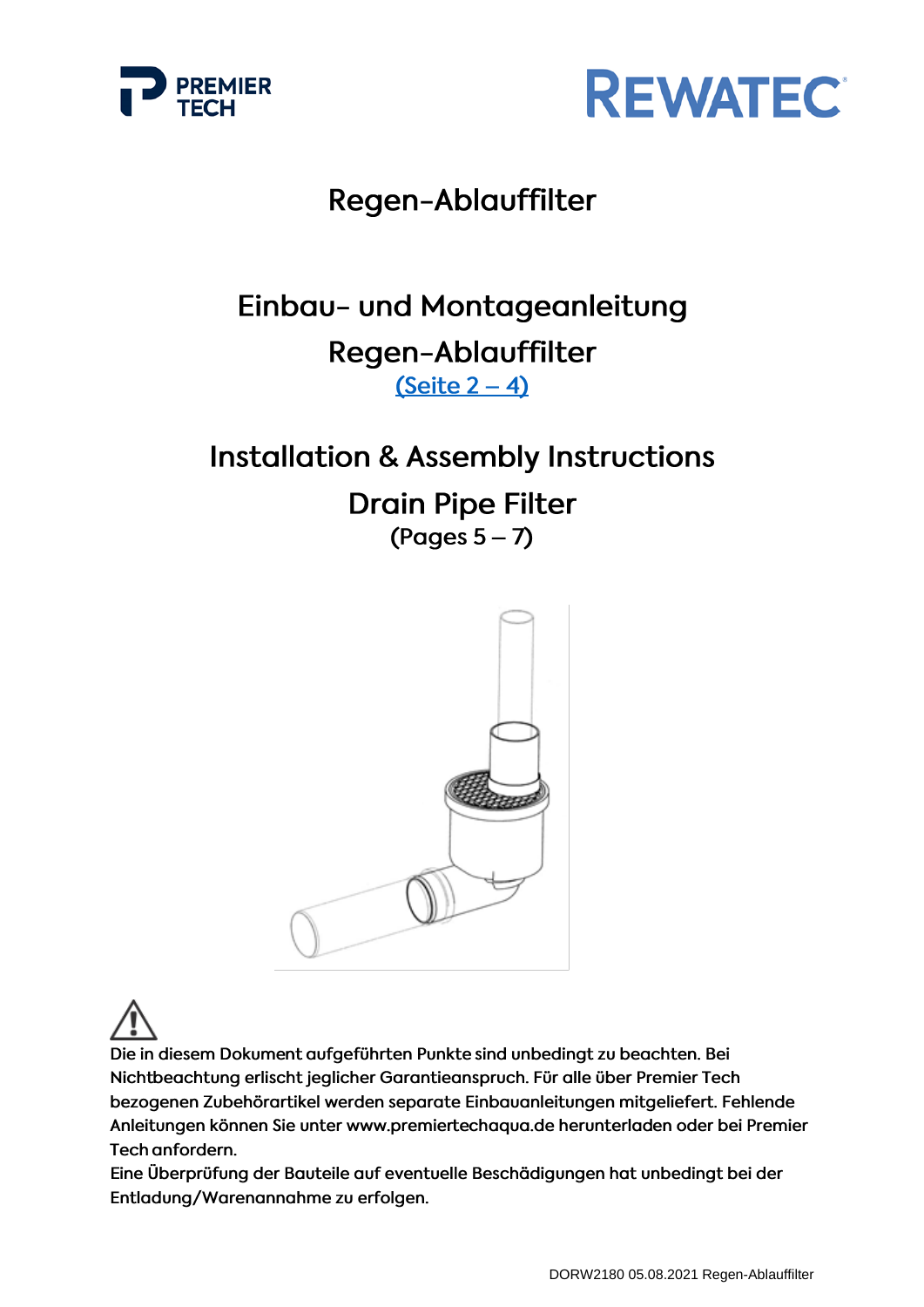



## Regen-Ablauffilter

# Einbau- und Montageanleitung Regen-Ablauffilter  $(Seite 2 – 4)$

## **Installation & Assembly Instructions**

**Drain Pipe Filter**  $(Pages 5 - 7)$ 



Die in diesem Dokument aufgeführten Punkte sind unbedingt zu beachten. Bei Nichtbeachtung erlischt jeglicher Garantieanspruch. Für alle über Premier Tech bezogenen Zubehörartikel werden separate Einbauanleitungen mitgeliefert. Fehlende Anleitungen können Sie unter www.premiertechaqua.de herunterladen oder bei Premier Tech anfordern.

Eine Überprüfung der Bauteile auf eventuelle Beschädigungen hat unbedingt bei der Entladung/Warenannahme zu erfolgen.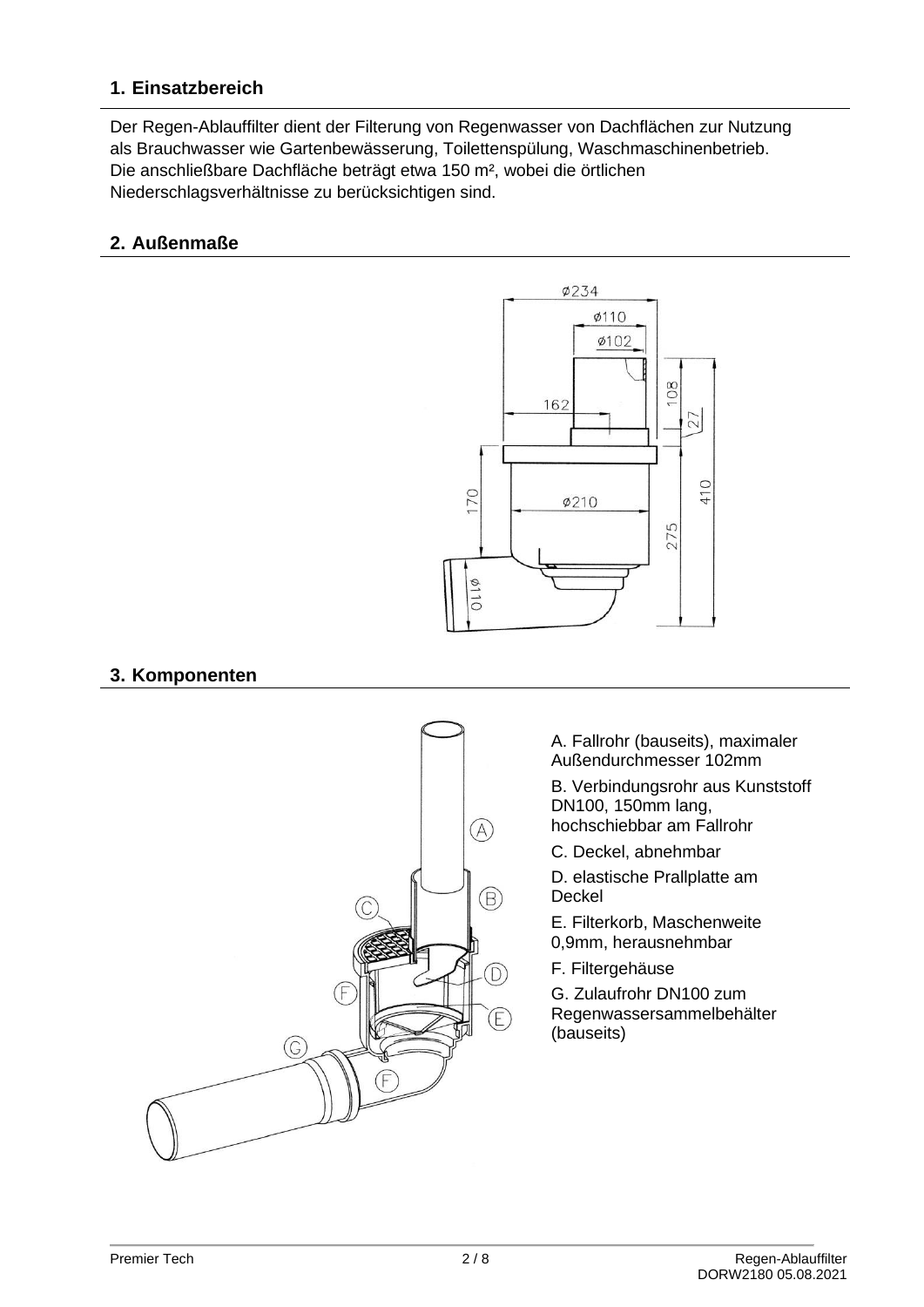#### **1. Einsatzbereich**

Der Regen-Ablauffilter dient der Filterung von Regenwasser von Dachflächen zur Nutzung als Brauchwasser wie Gartenbewässerung, Toilettenspülung, Waschmaschinenbetrieb. Die anschließbare Dachfläche beträgt etwa 150 m², wobei die örtlichen Niederschlagsverhältnisse zu berücksichtigen sind.

### **2. Außenmaße**



#### **3. Komponenten**



A. Fallrohr (bauseits), maximaler Außendurchmesser 102mm

B. Verbindungsrohr aus Kunststoff DN100, 150mm lang, hochschiebbar am Fallrohr

C. Deckel, abnehmbar

D. elastische Prallplatte am Deckel

E. Filterkorb, Maschenweite 0,9mm, herausnehmbar

F. Filtergehäuse

G. Zulaufrohr DN100 zum Regenwassersammelbehälter (bauseits)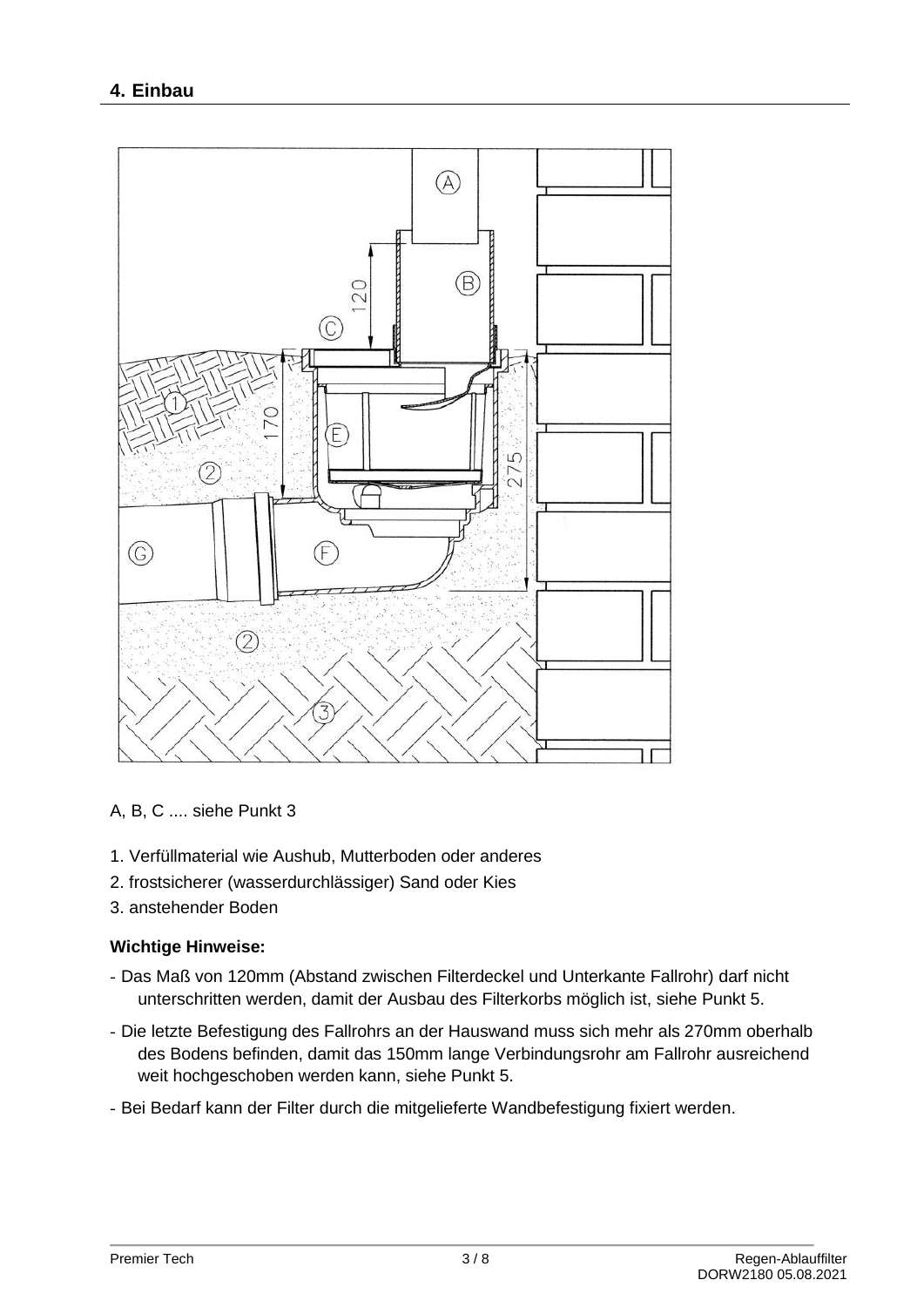

#### A, B, C .... siehe Punkt 3

- 1. Verfüllmaterial wie Aushub, Mutterboden oder anderes
- 2. frostsicherer (wasserdurchlässiger) Sand oder Kies
- 3. anstehender Boden

#### **Wichtige Hinweise:**

- Das Maß von 120mm (Abstand zwischen Filterdeckel und Unterkante Fallrohr) darf nicht unterschritten werden, damit der Ausbau des Filterkorbs möglich ist, siehe Punkt 5.
- Die letzte Befestigung des Fallrohrs an der Hauswand muss sich mehr als 270mm oberhalb des Bodens befinden, damit das 150mm lange Verbindungsrohr am Fallrohr ausreichend weit hochgeschoben werden kann, siehe Punkt 5.
- Bei Bedarf kann der Filter durch die mitgelieferte Wandbefestigung fixiert werden.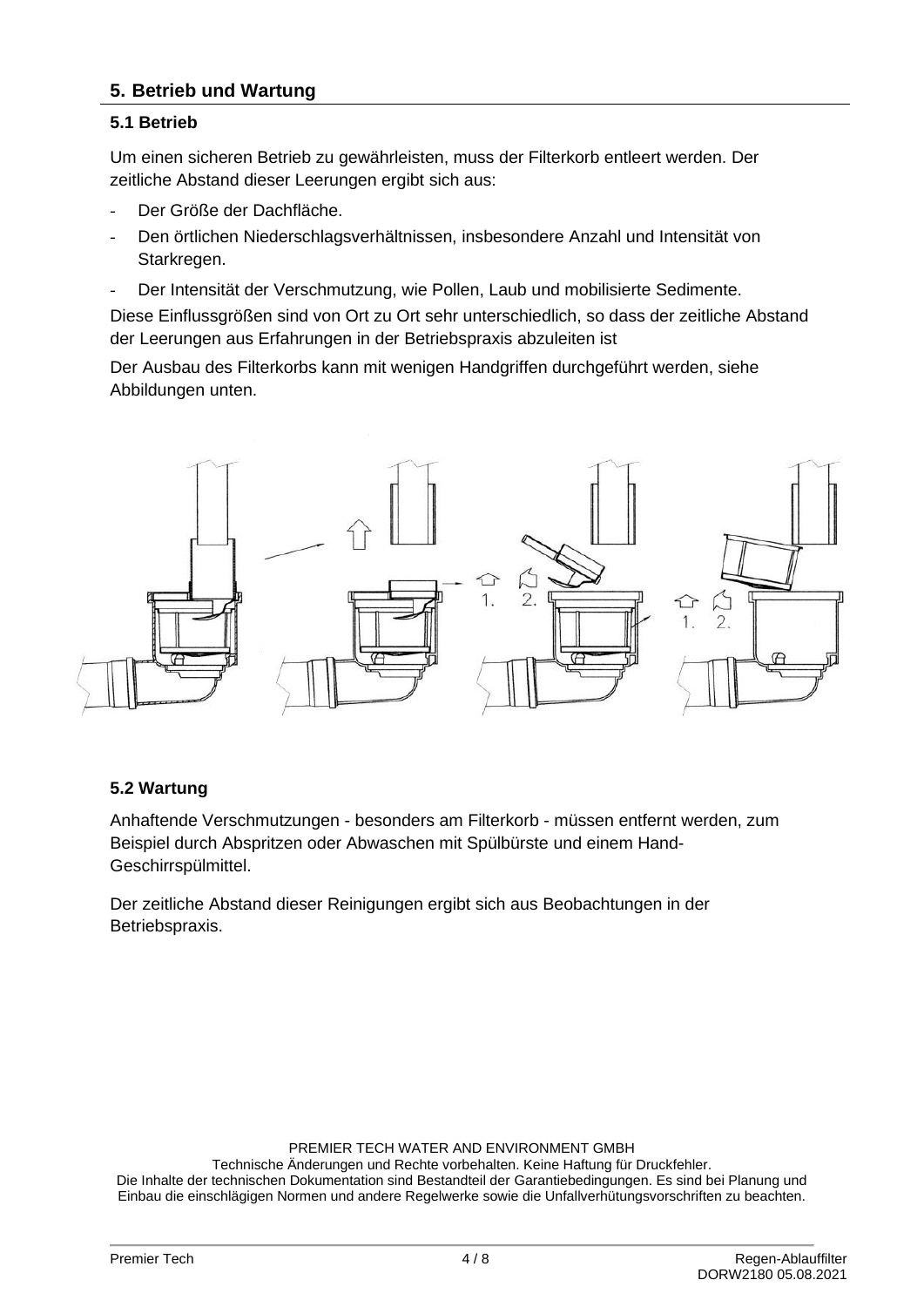#### **5. Betrieb und Wartung**

#### **5.1 Betrieb**

Um einen sicheren Betrieb zu gewährleisten, muss der Filterkorb entleert werden. Der zeitliche Abstand dieser Leerungen ergibt sich aus:

- Der Größe der Dachfläche.
- Den örtlichen Niederschlagsverhältnissen, insbesondere Anzahl und Intensität von Starkregen.
- Der Intensität der Verschmutzung, wie Pollen, Laub und mobilisierte Sedimente.

Diese Einflussgrößen sind von Ort zu Ort sehr unterschiedlich, so dass der zeitliche Abstand der Leerungen aus Erfahrungen in der Betriebspraxis abzuleiten ist

Der Ausbau des Filterkorbs kann mit wenigen Handgriffen durchgeführt werden, siehe Abbildungen unten.



#### **5.2 Wartung**

Anhaftende Verschmutzungen - besonders am Filterkorb - müssen entfernt werden, zum Beispiel durch Abspritzen oder Abwaschen mit Spülbürste und einem Hand-Geschirrspülmittel.

Der zeitliche Abstand dieser Reinigungen ergibt sich aus Beobachtungen in der Betriebspraxis.

PREMIER TECH WATER AND ENVIRONMENT GMBH

Technische Änderungen und Rechte vorbehalten. Keine Haftung für Druckfehler. Die Inhalte der technischen Dokumentation sind Bestandteil der Garantiebedingungen. Es sind bei Planung und Einbau die einschlägigen Normen und andere Regelwerke sowie die Unfallverhütungsvorschriften zu beachten.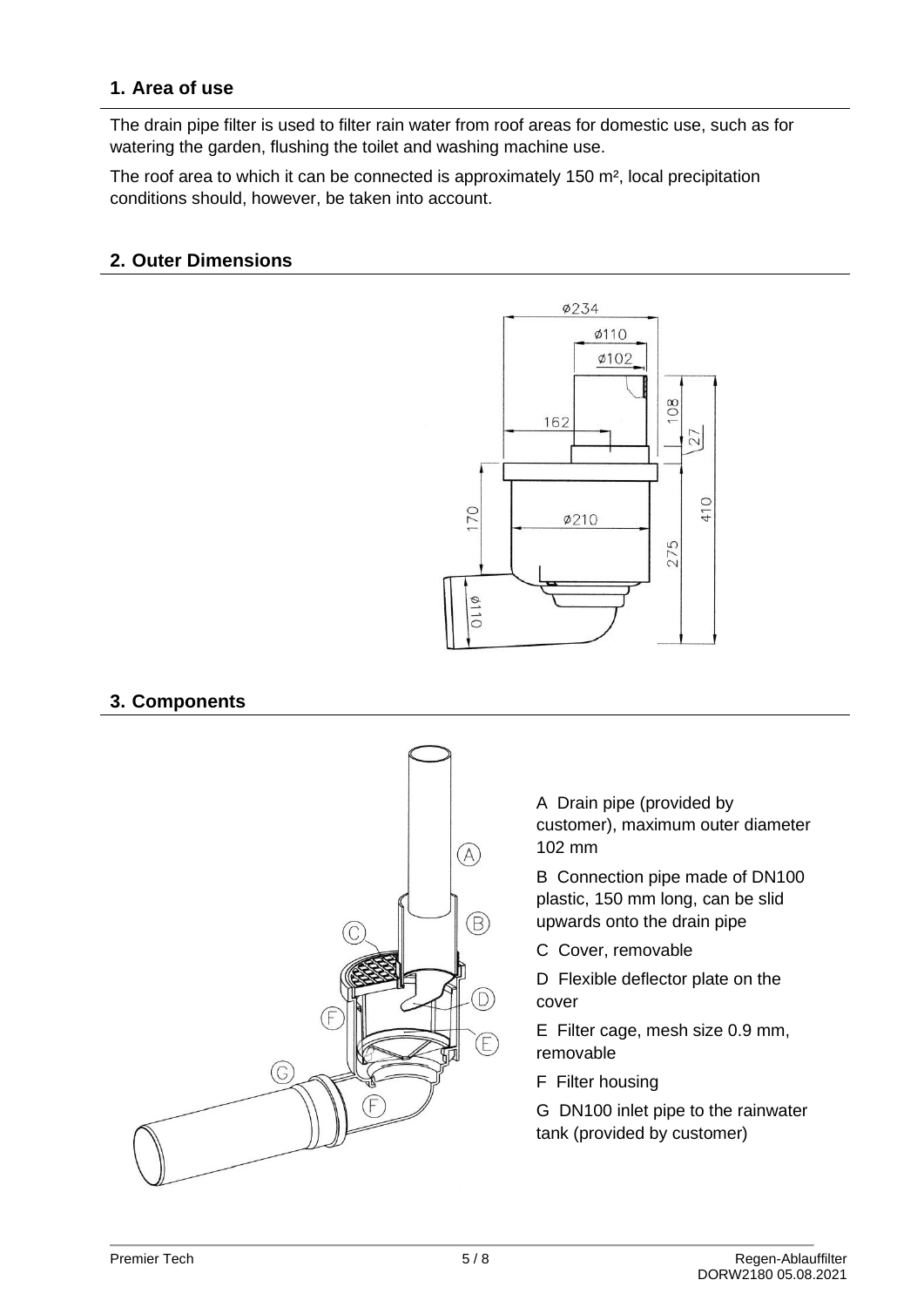#### **1. Area of use**

The drain pipe filter is used to filter rain water from roof areas for domestic use, such as for watering the garden, flushing the toilet and washing machine use.

The roof area to which it can be connected is approximately 150 m², local precipitation conditions should, however, be taken into account.

#### **2. Outer Dimensions**



#### **3. Components**



A Drain pipe (provided by customer), maximum outer diameter 102 mm

B Connection pipe made of DN100 plastic, 150 mm long, can be slid upwards onto the drain pipe

C Cover, removable

D Flexible deflector plate on the cover

E Filter cage, mesh size 0.9 mm, removable

F Filter housing

G DN100 inlet pipe to the rainwater tank (provided by customer)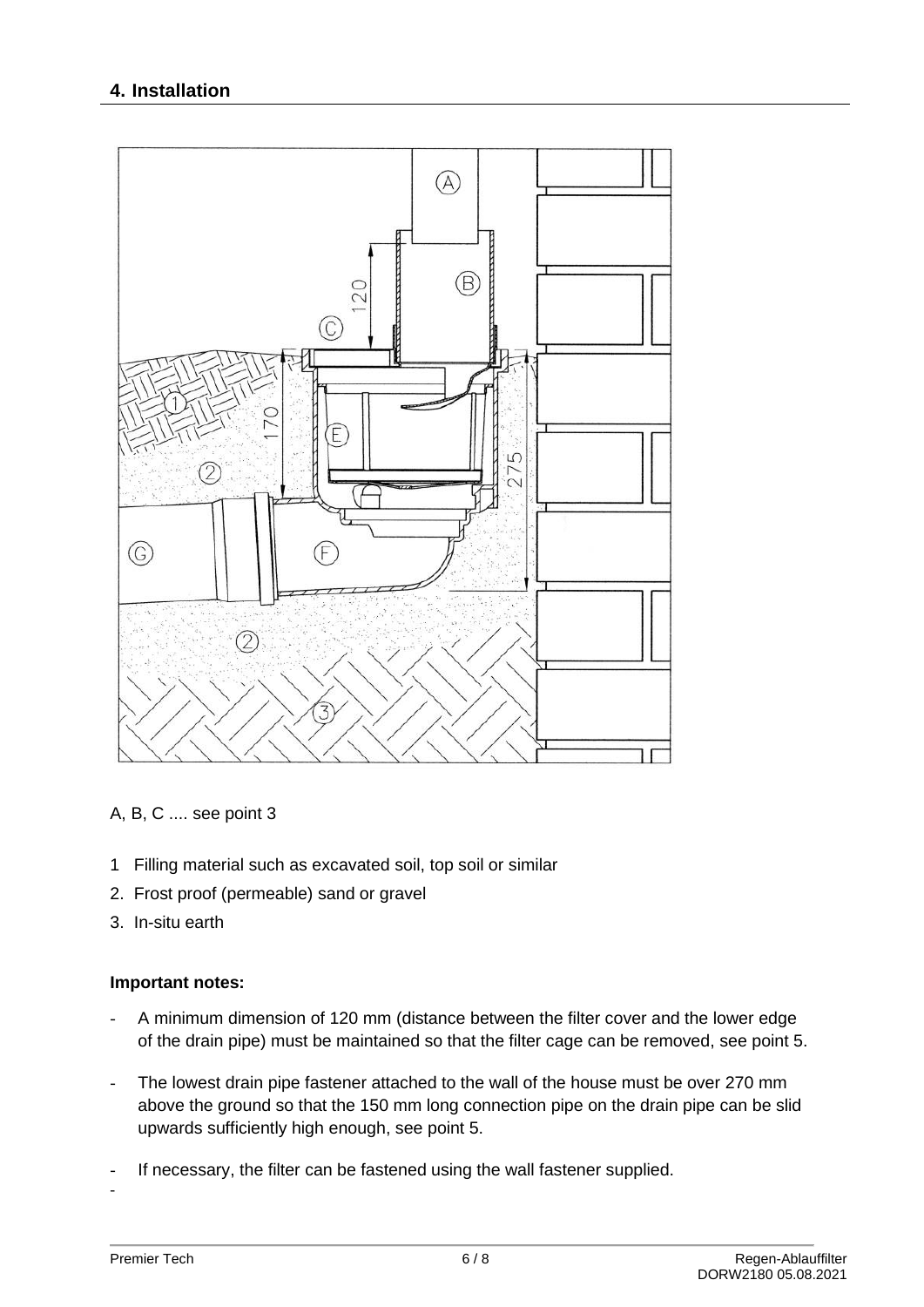### **4. Installation**



#### A, B, C .... see point 3

- 1 Filling material such as excavated soil, top soil or similar
- 2. Frost proof (permeable) sand or gravel
- 3. In-situ earth

#### **Important notes:**

- A minimum dimension of 120 mm (distance between the filter cover and the lower edge of the drain pipe) must be maintained so that the filter cage can be removed, see point 5.
- The lowest drain pipe fastener attached to the wall of the house must be over 270 mm above the ground so that the 150 mm long connection pipe on the drain pipe can be slid upwards sufficiently high enough, see point 5.
- If necessary, the filter can be fastened using the wall fastener supplied.

-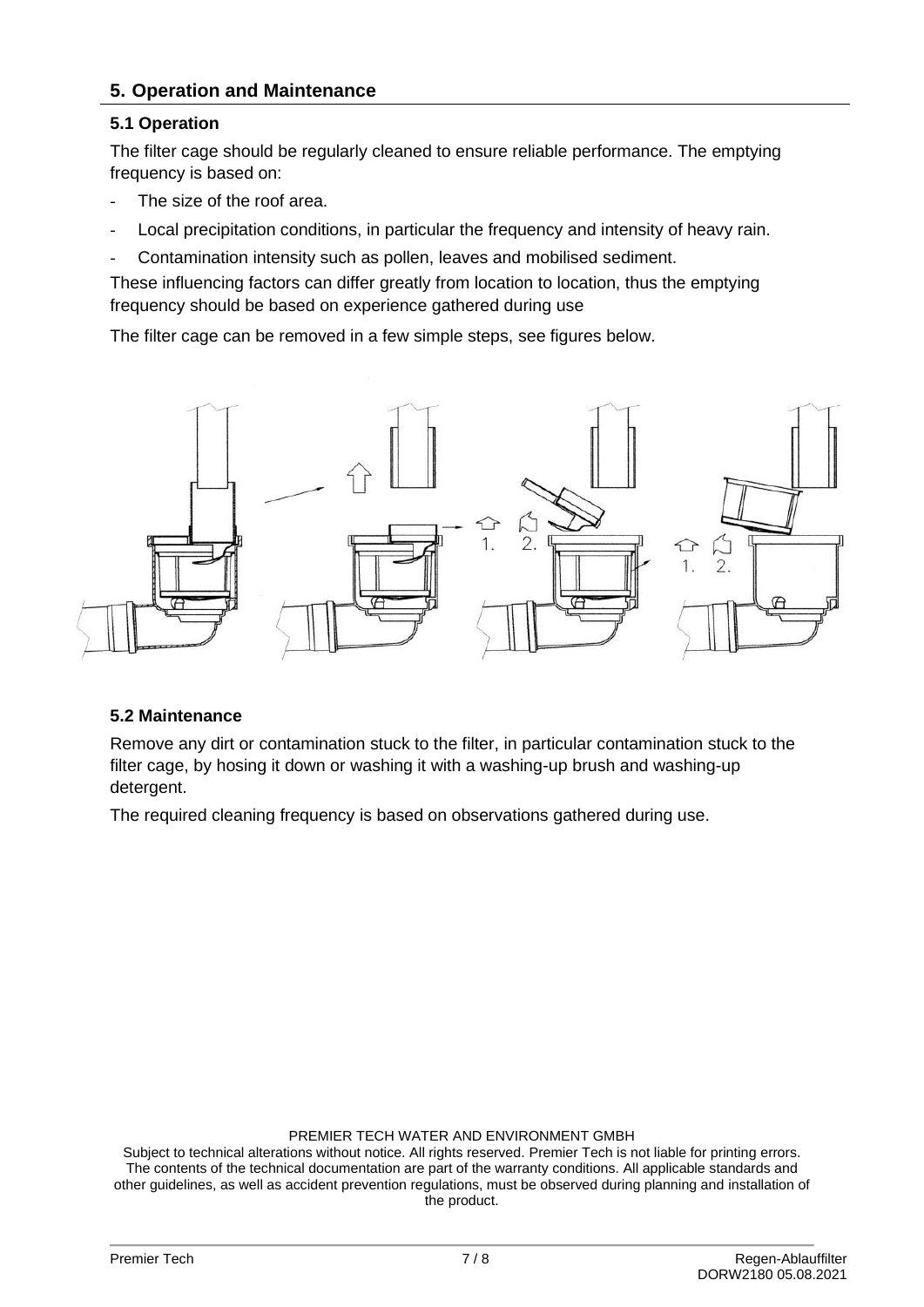#### **5. Operation and Maintenance**

#### **5.1 Operation**

The filter cage should be regularly cleaned to ensure reliable performance. The emptying frequency is based on:

- The size of the roof area.
- Local precipitation conditions, in particular the frequency and intensity of heavy rain.
- Contamination intensity such as pollen, leaves and mobilised sediment.

These influencing factors can differ greatly from location to location, thus the emptying frequency should be based on experience gathered during use

The filter cage can be removed in a few simple steps, see figures below.



#### **5.2 Maintenance**

Remove any dirt or contamination stuck to the filter, in particular contamination stuck to the filter cage, by hosing it down or washing it with a washing-up brush and washing-up detergent.

The required cleaning frequency is based on observations gathered during use.

#### PREMIER TECH WATER AND ENVIRONMENT GMBH

Subject to technical alterations without notice. All rights reserved. Premier Tech is not liable for printing errors. The contents of the technical documentation are part of the warranty conditions. All applicable standards and other guidelines, as well as accident prevention regulations, must be observed during planning and installation of the product.